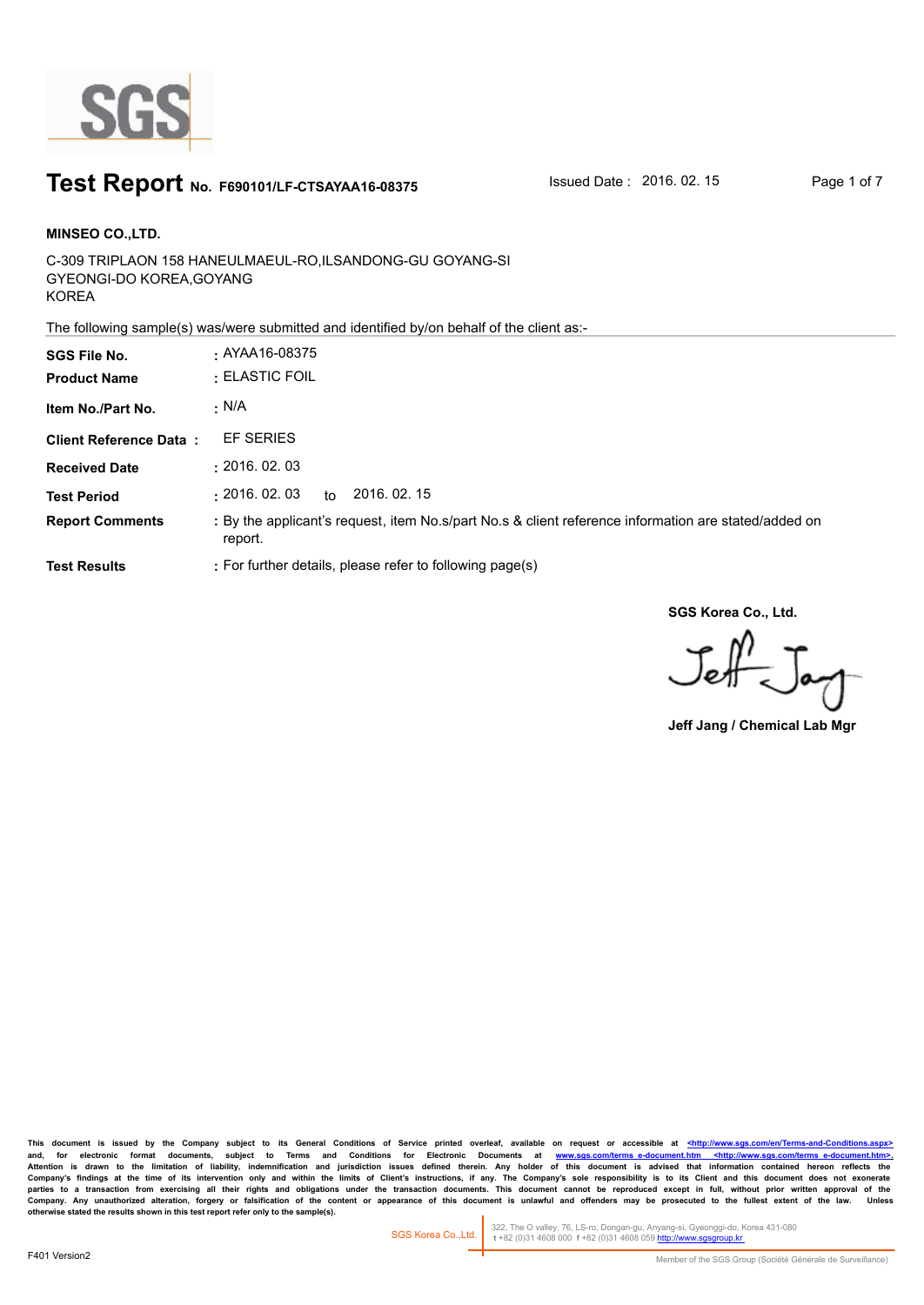

### **Test Report** No. F690101/LF-CTSAYAA16-08375 Sued Date : 2016. 02. 15 Page 1 of 7

C-309 TRIPLAON 158 HANEULMAEUL-RO,ILSANDONG-GU GOYANG-SI GYEONGI-DO KOREA,GOYANG KOREA **MINSEO CO.,LTD. SGS File No. :** AYAA16-08375

The following sample(s) was/were submitted and identified by/on behalf of the client as:-

| <b>SGS File No.</b><br><b>Product Name</b> | $\cdot$ AYAA16-08375<br>$\cdot$ ELASTIC FOIL                                                                    |
|--------------------------------------------|-----------------------------------------------------------------------------------------------------------------|
| Item No./Part No.                          | · N/A                                                                                                           |
| <b>Client Reference Data:</b>              | EF SERIES                                                                                                       |
| <b>Received Date</b>                       | : 2016.02.03                                                                                                    |
| <b>Test Period</b>                         | 2016, 02, 15<br>$\pm 2016.$ $02.$ $03$<br>to                                                                    |
| <b>Report Comments</b>                     | : By the applicant's request, item No.s/part No.s & client reference information are stated/added on<br>report. |
| <b>Test Results</b>                        | : For further details, please refer to following page(s)                                                        |

**SGS Korea Co., Ltd.**

 $J_{\rm eff}$ 

**Jeff Jang / Chemical Lab Mgr**

This document is issued by the Company subject to its General Conditions of Service printed overleaf, available on request or accessible at <http://www.sgs.com/en/Terms-and-C and, for electronic format documents, subject to Terms and Conditions for Electronic Documents at <u>www.sgs.com/terms\_e-document.htm <http://www.sgs.com/terms\_e-document.htm>-</u><br>Attention is drawn to the limitation of liabil Company's findings at the time of its intervention only and within the limits of Client's instructions, if any. The Company's sole responsibility is to its Client and this document does not exonerate<br>parties to a transacti Company. Any unauthorized alteration, forgery or falsification of the content or appearance of this document is unlawful and offenders may be prosecuted to the fullest extent of the law. Unless otherwise stated the results

322, The O valley, 76, LS-ro, Dongan-gu, Anyang-si, Gyeonggi-do, Korea 431-080  **t** +82 (0)31 4608 000 **f** +82 (0)31 4608 059 http://www.sgsgroup.kr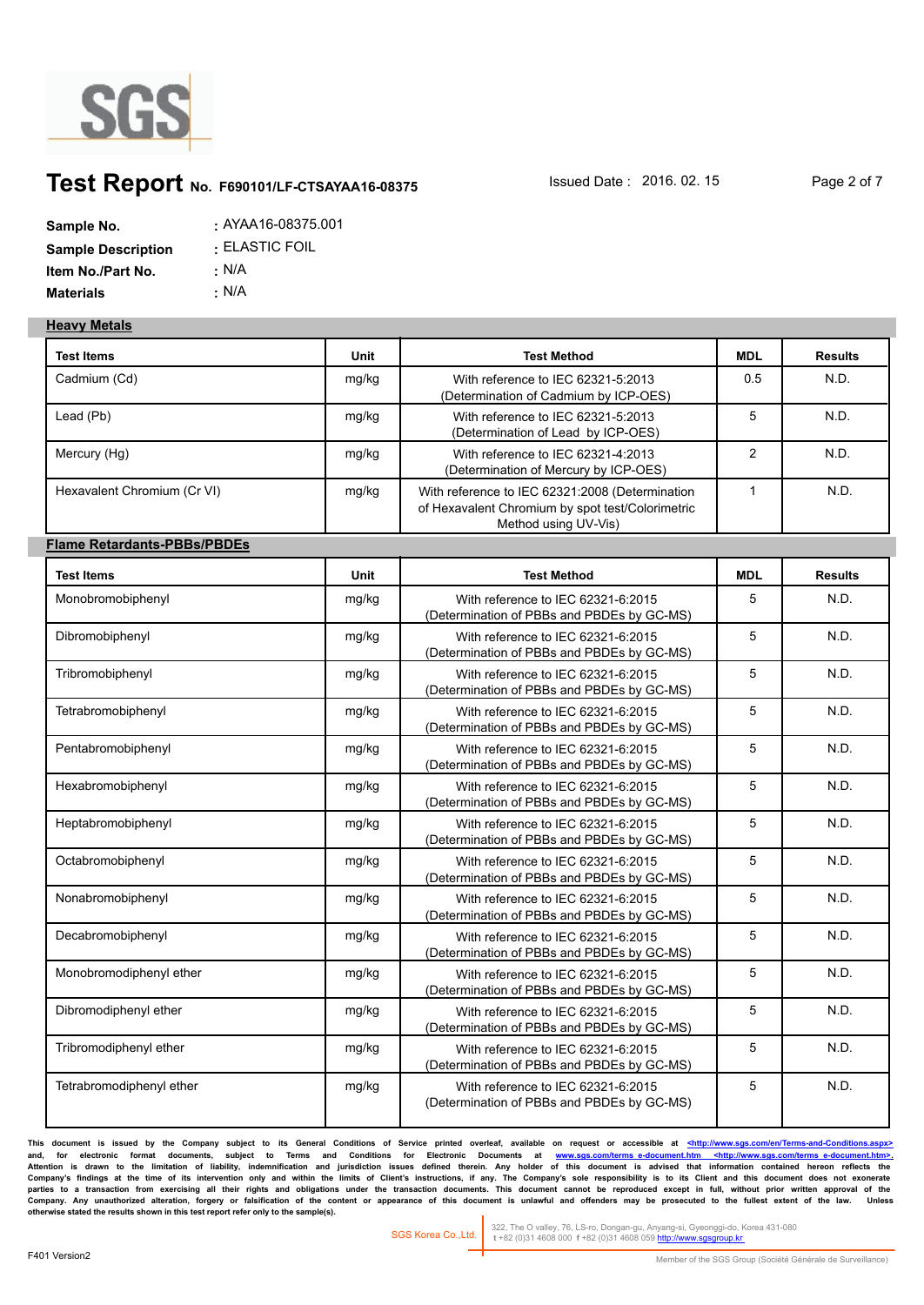

## **Test Report** No. F690101/LF-CTSAYAA16-08375 Sued Date : 2016. 02. 15 Page 2 of 7

| Sample No.                | : AYAA16-08375.001 |
|---------------------------|--------------------|
| <b>Sample Description</b> | : ELASTIC FOIL     |
| Item No./Part No.         | : N/A              |
| <b>Materials</b>          | ∴ N/A              |

#### **Heavy Metals**

| <b>Test Items</b>                  | Unit  | <b>Test Method</b>                                                                                                          | <b>MDL</b>     | <b>Results</b> |
|------------------------------------|-------|-----------------------------------------------------------------------------------------------------------------------------|----------------|----------------|
| Cadmium (Cd)                       | mg/kg | With reference to IEC 62321-5:2013<br>(Determination of Cadmium by ICP-OES)                                                 | 0.5            | N.D.           |
| Lead (Pb)                          | mg/kg | With reference to IEC 62321-5:2013<br>(Determination of Lead by ICP-OES)                                                    | 5              | N.D.           |
| Mercury (Hg)                       | mg/kg | With reference to IEC 62321-4:2013<br>(Determination of Mercury by ICP-OES)                                                 | $\overline{2}$ | N.D.           |
| Hexavalent Chromium (Cr VI)        | mg/kg | With reference to IEC 62321:2008 (Determination<br>of Hexavalent Chromium by spot test/Colorimetric<br>Method using UV-Vis) | $\mathbf{1}$   | N.D.           |
| <b>Flame Retardants-PBBs/PBDEs</b> |       |                                                                                                                             |                |                |
| <b>Test Items</b>                  | Unit  | <b>Test Method</b>                                                                                                          | <b>MDL</b>     | <b>Results</b> |
| Monobromobiphenyl                  | mg/kg | With reference to IEC 62321-6:2015<br>(Determination of PBBs and PBDEs by GC-MS)                                            | 5              | N.D.           |
| Dibromobiphenyl                    | mg/kg | With reference to IEC 62321-6:2015<br>(Determination of PBBs and PBDEs by GC-MS)                                            | 5              | N.D.           |
| Tribromobiphenyl                   | mg/kg | With reference to IEC 62321-6:2015<br>(Determination of PBBs and PBDEs by GC-MS)                                            | 5              | N.D.           |
| Tetrabromobiphenyl                 | mg/kg | With reference to IEC 62321-6:2015<br>(Determination of PBBs and PBDEs by GC-MS)                                            | 5              | N.D.           |
| Pentabromobiphenyl                 | mg/kg | With reference to IEC 62321-6:2015<br>(Determination of PBBs and PBDEs by GC-MS)                                            | 5              | N.D.           |
| Hexabromobiphenyl                  | mg/kg | With reference to IEC 62321-6:2015<br>(Determination of PBBs and PBDEs by GC-MS)                                            | 5              | N.D.           |
| Heptabromobiphenyl                 | mg/kg | With reference to IEC 62321-6:2015<br>(Determination of PBBs and PBDEs by GC-MS)                                            | 5              | N.D.           |
| Octabromobiphenyl                  | mg/kg | With reference to IEC 62321-6:2015<br>(Determination of PBBs and PBDEs by GC-MS)                                            | 5              | N.D.           |
| Nonabromobiphenyl                  | mg/kg | With reference to IEC 62321-6:2015<br>(Determination of PBBs and PBDEs by GC-MS)                                            | 5              | N.D.           |
| Decabromobiphenyl                  | mg/kg | With reference to IEC 62321-6:2015<br>(Determination of PBBs and PBDEs by GC-MS)                                            | 5              | N.D.           |
| Monobromodiphenyl ether            | mg/kg | With reference to IEC 62321-6:2015<br>(Determination of PBBs and PBDEs by GC-MS)                                            | 5              | N.D.           |
| Dibromodiphenyl ether              | mg/kg | With reference to IEC 62321-6:2015<br>(Determination of PBBs and PBDEs by GC-MS)                                            | 5              | N.D.           |
| Tribromodiphenyl ether             | mg/kg | With reference to IEC 62321-6:2015<br>(Determination of PBBs and PBDEs by GC-MS)                                            | 5              | N.D.           |
| Tetrabromodiphenyl ether           | mg/kg | With reference to IEC 62321-6:2015<br>(Determination of PBBs and PBDEs by GC-MS)                                            | 5              | N.D.           |

This document is issued by the Company subject to its General Conditions of Service printed overleaf, available on request or accessible at <http://www.sgs.com/en/Terms-and-Conditions. and, for electronic format documents, subject to Terms and Conditions for Electronic Documents at <u>www.sgs.com/terms\_e-document.htm <http://www.sgs.com/terms\_e-document.htm>-</u><br>Attention is drawn to the limitation of liabil Company's findings at the time of its intervention only and within the limits of Client's instructions, if any. The Company's sole responsibility is to its Client and this document does not exonerate<br>parties to a transacti Company. Any unauthorized alteration, forgery or falsification of the content or appearance of this document is unlawful and offenders may be prosecuted to the fullest extent of the law. Unless otherwise stated the results

322, The O valley, 76, LS-ro, Dongan-gu, Anyang-si, Gyeonggi-do, Korea 431-080  **t** +82 (0)31 4608 000 **f** +82 (0)31 4608 059 http://www.sgsgroup.kr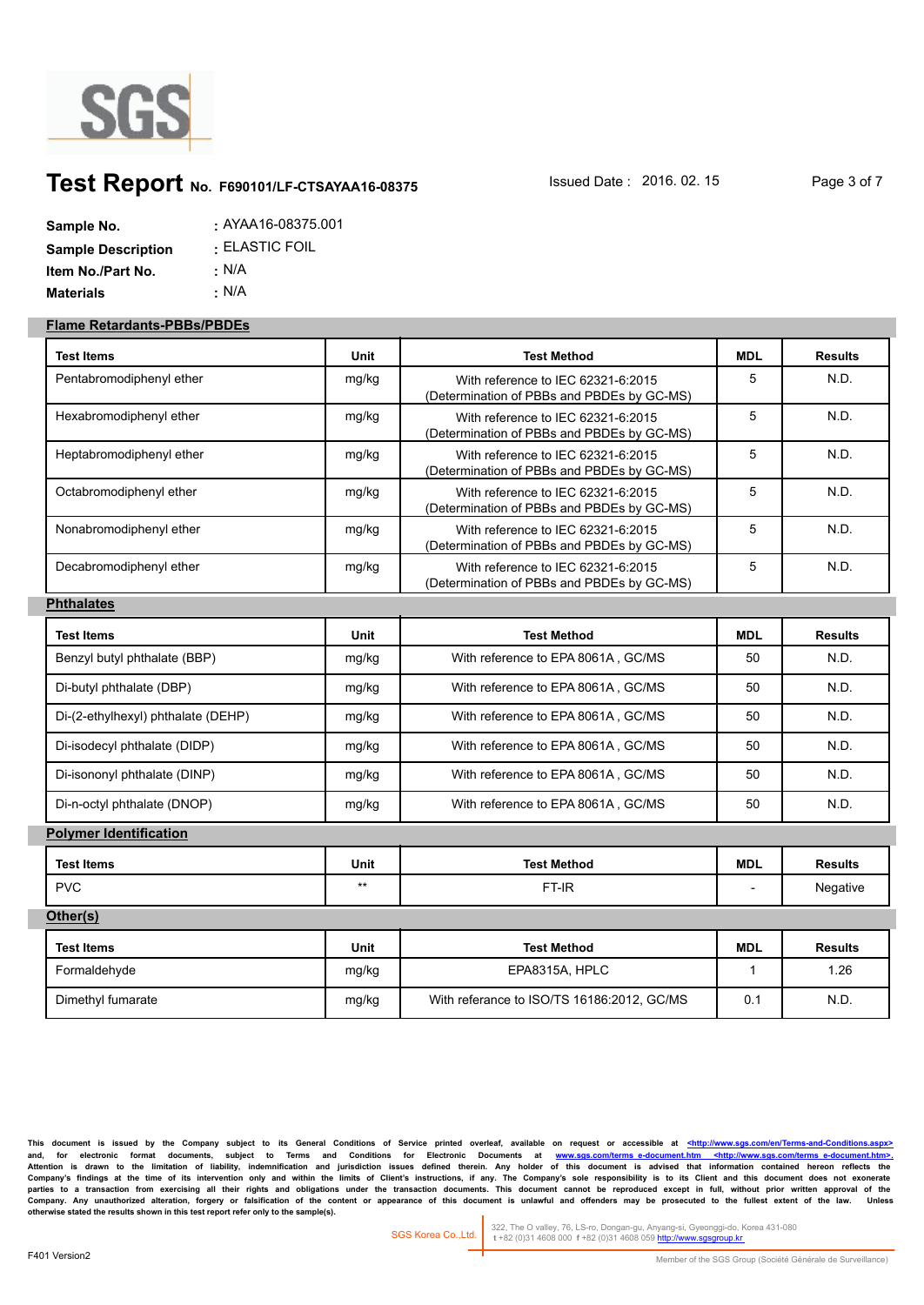

# **Test Report** No. F690101/LF-CTSAYAA16-08375 Sued Date : 2016. 02. 15 Page 3 of 7

| Sample No.                | : AYAA16-08375.001 |
|---------------------------|--------------------|
| <b>Sample Description</b> | : ELASTIC FOIL     |
| Item No./Part No.         | ∴ N/A              |
| <b>Materials</b>          | ∴ N/A              |

#### **Flame Retardants-PBBs/PBDEs**

| Test Items                         | Unit        | <b>Test Method</b>                                                               | <b>MDL</b>   | <b>Results</b> |
|------------------------------------|-------------|----------------------------------------------------------------------------------|--------------|----------------|
| Pentabromodiphenyl ether           | mg/kg       | With reference to IEC 62321-6:2015<br>(Determination of PBBs and PBDEs by GC-MS) | 5            | N.D.           |
| Hexabromodiphenyl ether            | mg/kg       | With reference to IEC 62321-6:2015<br>(Determination of PBBs and PBDEs by GC-MS) | 5            | N.D.           |
| Heptabromodiphenyl ether           | mg/kg       | With reference to IEC 62321-6:2015<br>(Determination of PBBs and PBDEs by GC-MS) | 5            | N.D.           |
| Octabromodiphenyl ether            | mg/kg       | With reference to IEC 62321-6:2015<br>(Determination of PBBs and PBDEs by GC-MS) | 5            | N.D.           |
| Nonabromodiphenyl ether            | mg/kg       | With reference to IEC 62321-6:2015<br>(Determination of PBBs and PBDEs by GC-MS) | 5            | N.D.           |
| Decabromodiphenyl ether            | mg/kg       | With reference to IEC 62321-6:2015<br>(Determination of PBBs and PBDEs by GC-MS) | 5            | N.D.           |
| <b>Phthalates</b>                  |             |                                                                                  |              |                |
| <b>Test Items</b>                  | Unit        | <b>Test Method</b>                                                               | <b>MDL</b>   | <b>Results</b> |
| Benzyl butyl phthalate (BBP)       | mg/kg       | With reference to EPA 8061A, GC/MS                                               | 50           | N.D.           |
| Di-butyl phthalate (DBP)           | mg/kg       | With reference to EPA 8061A, GC/MS                                               | 50           | N.D.           |
| Di-(2-ethylhexyl) phthalate (DEHP) | mg/kg       | With reference to EPA 8061A, GC/MS                                               | 50           | N.D.           |
| Di-isodecyl phthalate (DIDP)       | mg/kg       | With reference to EPA 8061A, GC/MS                                               | 50           | N.D.           |
| Di-isononyl phthalate (DINP)       | mg/kg       | With reference to EPA 8061A, GC/MS                                               | 50           | N.D.           |
| Di-n-octyl phthalate (DNOP)        | mg/kg       | With reference to EPA 8061A, GC/MS                                               | 50           | N.D.           |
| <b>Polymer Identification</b>      |             |                                                                                  |              |                |
| <b>Test Items</b>                  | <b>Unit</b> | <b>Test Method</b>                                                               | <b>MDL</b>   | <b>Results</b> |
| <b>PVC</b>                         | $***$       | FT-IR                                                                            |              | Negative       |
| Other(s)                           |             |                                                                                  |              |                |
| <b>Test Items</b>                  | Unit        | <b>Test Method</b>                                                               | <b>MDL</b>   | <b>Results</b> |
| Formaldehyde                       | mg/kg       | EPA8315A, HPLC                                                                   | $\mathbf{1}$ | 1.26           |
| Dimethyl fumarate                  | mg/kg       | With referance to ISO/TS 16186:2012, GC/MS                                       | 0.1          | N.D.           |

This document is issued by the Company subject to its General Conditions of Service printed overleaf, available on request or accessible at <http://www.sgs.com/en/Termsand, for electronic format documents, subject to Terms and Conditions for Electronic Documents at <u>www.sgs.com/terms\_e-document.htm <http://www.sgs.com/terms\_e-document.htm>-</u><br>Attention is drawn to the limitation of liabil Company's findings at the time of its intervention only and within the limits of Client's instructions, if any. The Company's sole responsibility is to its Client and this document does not exonerate<br>parties to a transacti Company. Any unauthorized alteration, forgery or falsification of the content or appearance of this document is unlawful and offenders may be prosecuted to the fullest extent of the law. Unless otherwise stated the results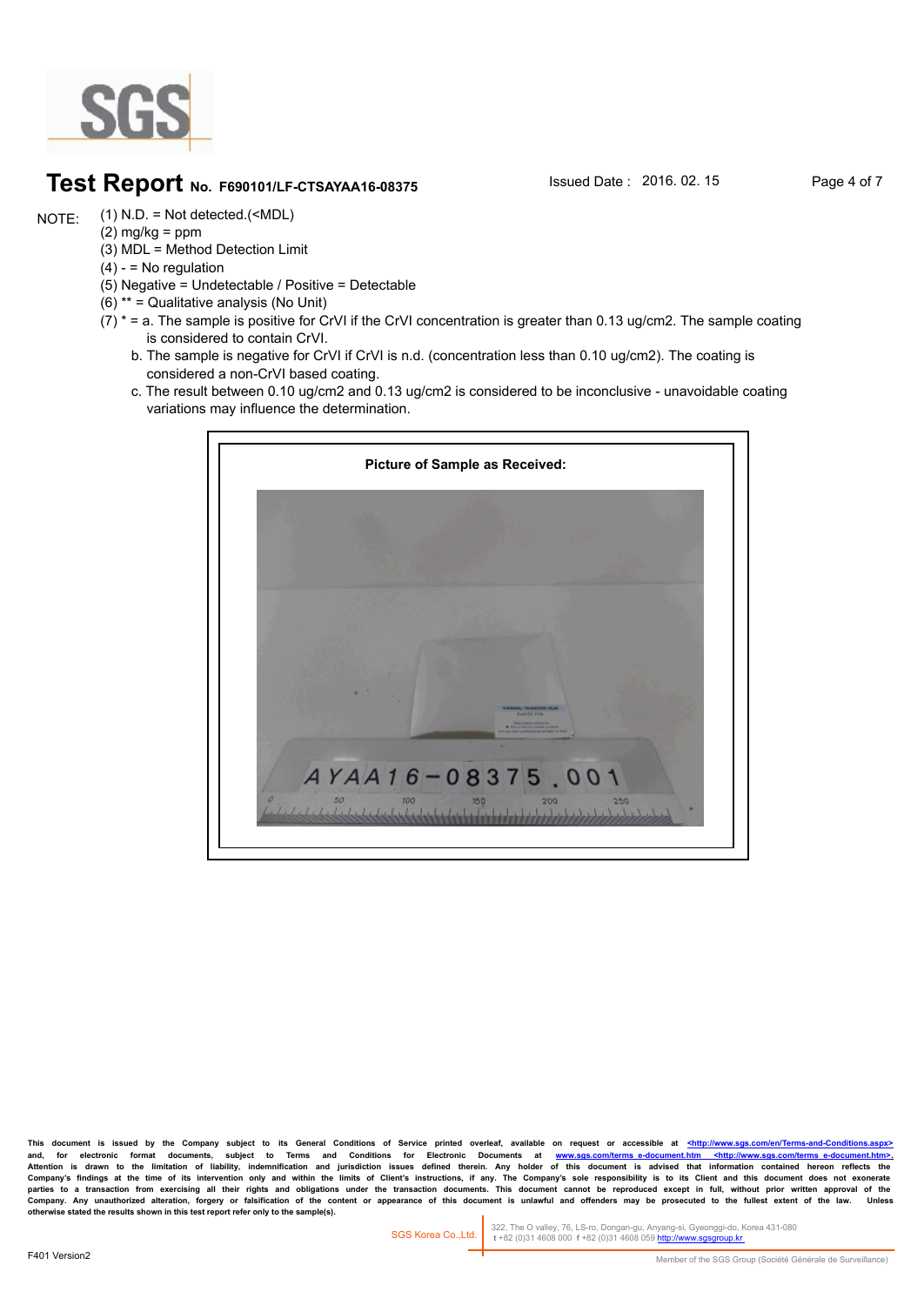

### **Test Report** No. F690101/LF-CTSAYAA16-08375 **Issued Date : 2016. 02. 15** Page 4 of 7

(1) N.D. = Not detected.(<MDL) NOTE:

- $(2)$  mg/kg = ppm (3) MDL = Method Detection Limit
- $(4) -$  = No regulation
- (5) Negative = Undetectable / Positive = Detectable
- (6) \*\* = Qualitative analysis (No Unit)
- $(7)$  \* = a. The sample is positive for CrVI if the CrVI concentration is greater than 0.13 ug/cm2. The sample coating is considered to contain CrVI.
	- b. The sample is negative for CrVI if CrVI is n.d. (concentration less than 0.10 ug/cm2). The coating is considered a non-CrVI based coating.
	- c. The result between 0.10 ug/cm2 and 0.13 ug/cm2 is considered to be inconclusive unavoidable coating variations may influence the determination.



This document is issued by the Company subject to its General Conditions of Service printed overleaf, available on request or accessible at <http://www. and, for electronic format documents, subject to Terms and Conditions for Electronic Documents at <u>www.sgs.com/terms\_e-document.htm <http://www.sgs.com/terms\_e-document.htm>-</u><br>Attention is drawn to the limitation of liabil Company's findings at the time of its intervention only and within the limits of Client's instructions, if any. The Company's sole responsibility is to its Client and this document does not exonerate<br>parties to a transacti Company. Any unauthorized alteration, forgery or falsification of the content or appearance of this document is unlawful and offenders may be prosecuted to the fullest extent of the law.<br>otherwise stated the results shown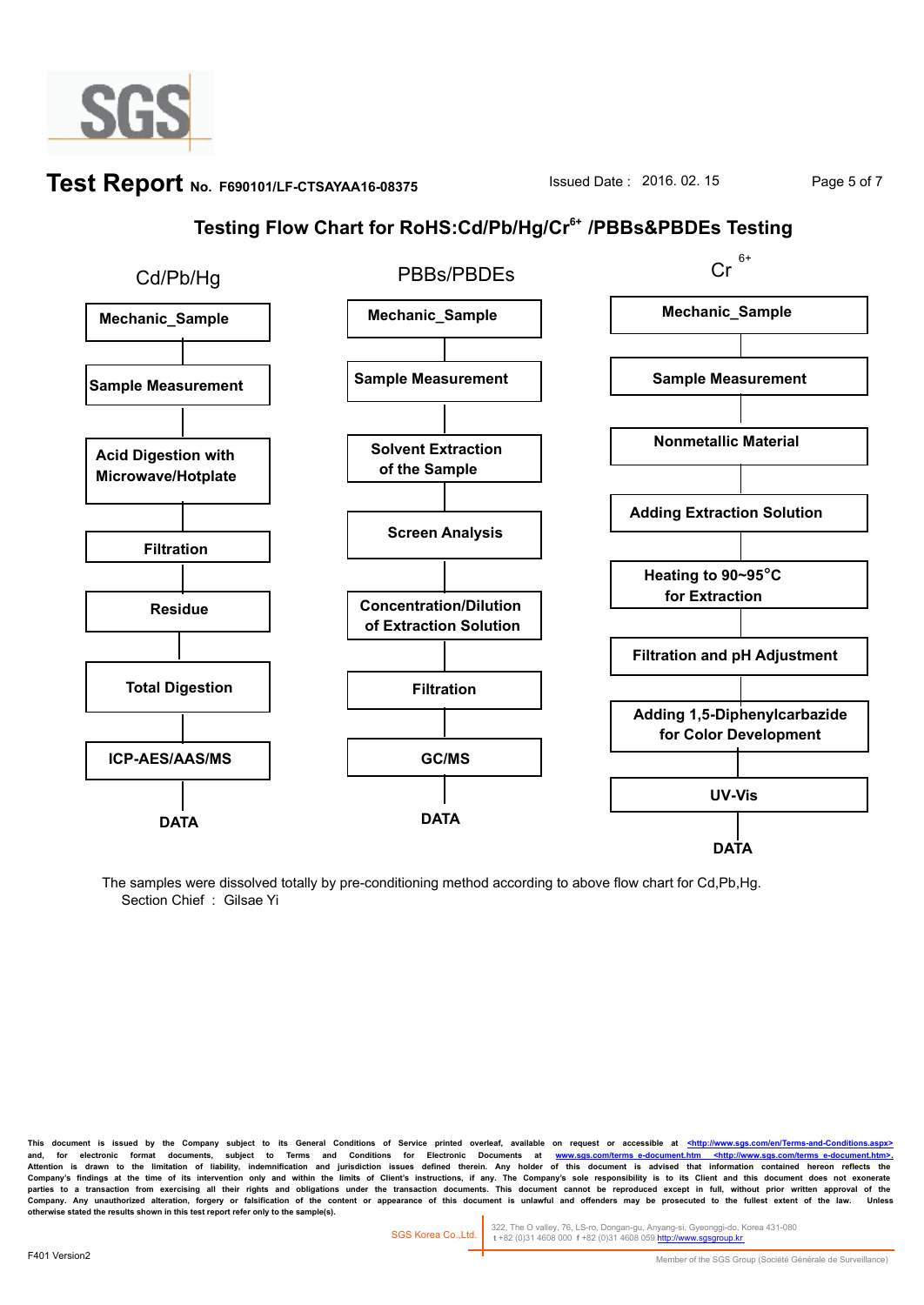

# **Test Report** No. F690101/LF-CTSAYAA16-08375 Sued Date : 2016. 02. 15 Page 5 of 7

## **Testing Flow Chart for RoHS:Cd/Pb/Hg/Cr6+ /PBBs&PBDEs Testing**



The samples were dissolved totally by pre-conditioning method according to above flow chart for Cd,Pb,Hg. Section Chief : Gilsae Yi

This document is issued by the Company subject to its General Conditions of Service printed overleaf, available on request or accessible at <http://www.sgs and, for electronic format documents, subject to Terms and Conditions for Electronic Documents at <u>www.sgs.com/terms\_e-document.htm <http://www.sgs.com/terms\_e-document.htm>-</u><br>Attention is drawn to the limitation of liabil Company's findings at the time of its intervention only and within the limits of Client's instructions, if any. The Company's sole responsibility is to its Client and this document does not exonerate<br>parties to a transacti Company. Any unauthorized alteration, forgery or faisification of the content or appearance of this document is unlawful and offenders may be prosecuted to the fullest extent of the law.<br>otherwise stated the results shown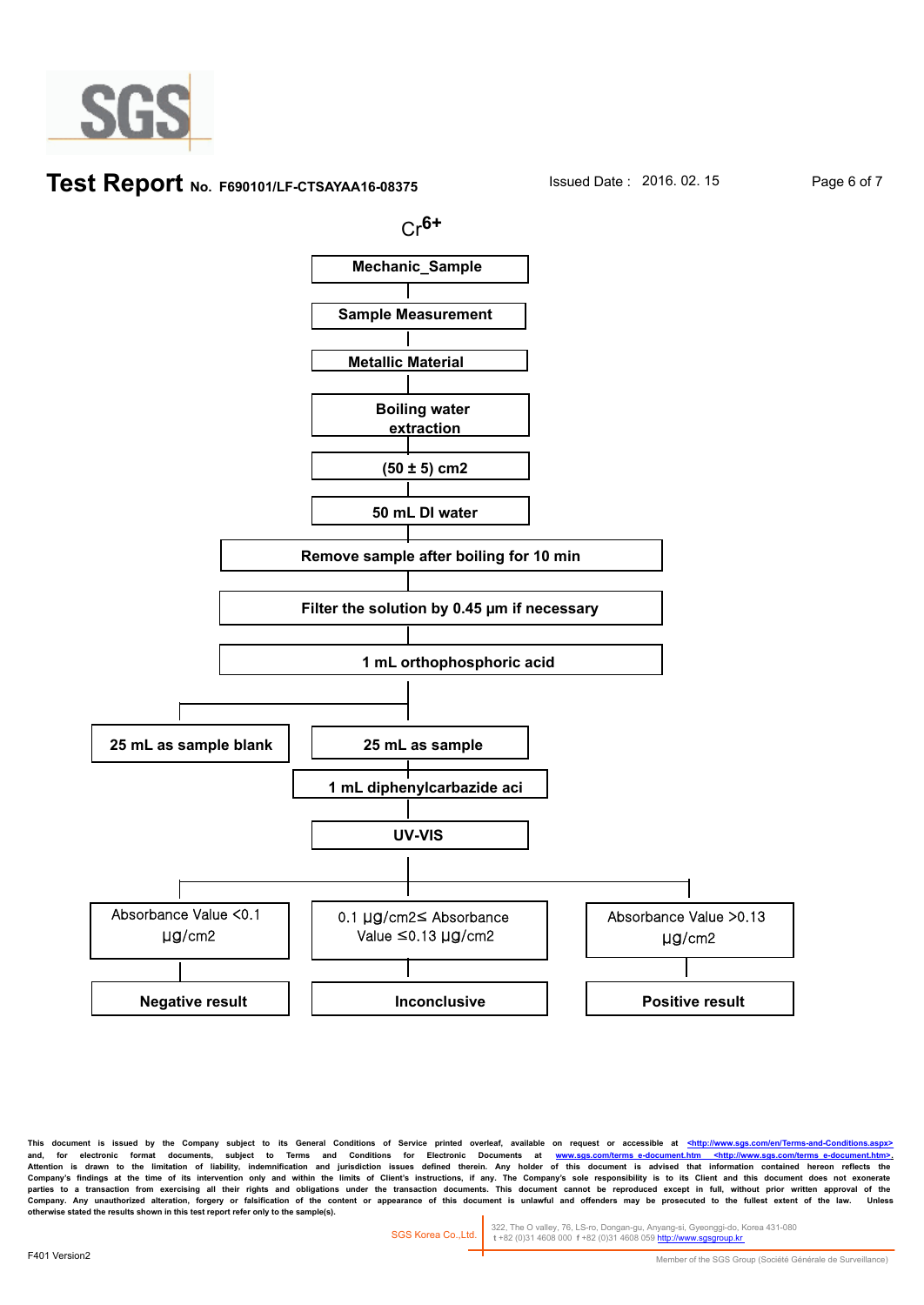

#### **Test Report** No. F690101/LF-CTSAYAA16-08375 Issued Date : 2016. 02. 15 Page 6 of 7



This document is issued by the Company subject to its General Conditions of Service printed overleaf, available on request or accessible at <http://www. and, for electronic format documents, subject to Terms and Conditions for Electronic Documents at <u>www.sgs.com/terms\_e-document.htm <http://www.sgs.com/terms\_e-document.htm>-</u><br>Attention is drawn to the limitation of liabil Company's findings at the time of its intervention only and within the limits of Client's instructions, if any. The Company's sole responsibility is to its Client and this document does not exonerate<br>parties to a transacti Company. Any unauthorized alteration, forgery or faisification of the content or appearance of this document is unlawful and offenders may be prosecuted to the fullest extent of the law.<br>otherwise stated the results shown